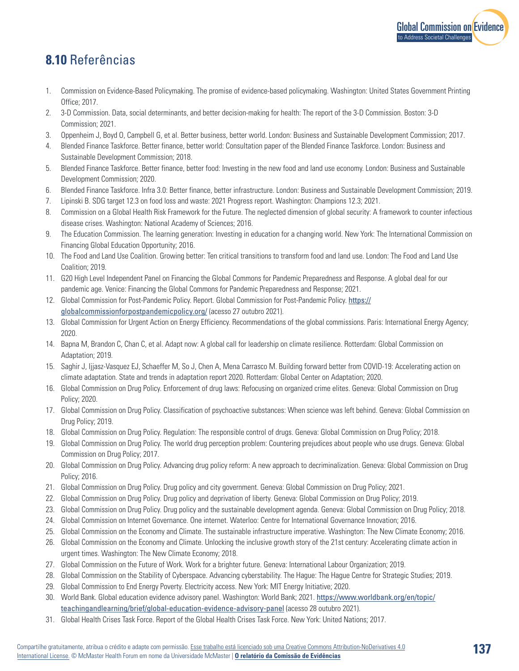

## **8.10** Referências

- 1. Commission on Evidence-Based Policymaking. The promise of evidence-based policymaking. Washington: United States Government Printing Office; 2017.
- 2. 3-D Commission. Data, social determinants, and better decision-making for health: The report of the 3-D Commission. Boston: 3-D Commission; 2021.
- 3. Oppenheim J, Boyd O, Campbell G, et al. Better business, better world. London: Business and Sustainable Development Commission; 2017.
- 4. Blended Finance Taskforce. Better finance, better world: Consultation paper of the Blended Finance Taskforce. London: Business and Sustainable Development Commission; 2018.
- 5. Blended Finance Taskforce. Better finance, better food: Investing in the new food and land use economy. London: Business and Sustainable Development Commission; 2020.
- 6. Blended Finance Taskforce. Infra 3.0: Better finance, better infrastructure. London: Business and Sustainable Development Commission; 2019.
- 7. Lipinski B. SDG target 12.3 on food loss and waste: 2021 Progress report. Washington: Champions 12.3; 2021.
- 8. Commission on a Global Health Risk Framework for the Future. The neglected dimension of global security: A framework to counter infectious disease crises. Washington: National Academy of Sciences; 2016.
- 9. The Education Commission. The learning generation: Investing in education for a changing world. New York: The International Commission on Financing Global Education Opportunity; 2016.
- 10. The Food and Land Use Coalition. Growing better: Ten critical transitions to transform food and land use. London: The Food and Land Use Coalition; 2019.
- 11. G20 High Level Independent Panel on Financing the Global Commons for Pandemic Preparedness and Response. A global deal for our pandemic age. Venice: Financing the Global Commons for Pandemic Preparedness and Response; 2021.
- 12. Global Commission for Post-Pandemic Policy. Report. Global Commission for Post-Pandemic Policy. [https://](https://globalcommissionforpostpandemicpolicy.org/) [globalcommissionforpostpandemicpolicy.org/](https://globalcommissionforpostpandemicpolicy.org/) (acesso 27 outubro 2021).
- 13. Global Commission for Urgent Action on Energy Efficiency. Recommendations of the global commissions. Paris: International Energy Agency; 2020.
- 14. Bapna M, Brandon C, Chan C, et al. Adapt now: A global call for leadership on climate resilience. Rotterdam: Global Commission on Adaptation; 2019.
- 15. Saghir J, Ijjasz-Vasquez EJ, Schaeffer M, So J, Chen A, Mena Carrasco M. Building forward better from COVID-19: Accelerating action on climate adaptation. State and trends in adaptation report 2020. Rotterdam: Global Center on Adaptation; 2020.
- 16. Global Commission on Drug Policy. Enforcement of drug laws: Refocusing on organized crime elites. Geneva: Global Commission on Drug Policy; 2020.
- 17. Global Commission on Drug Policy. Classification of psychoactive substances: When science was left behind. Geneva: Global Commission on Drug Policy; 2019.
- 18. Global Commission on Drug Policy. Regulation: The responsible control of drugs. Geneva: Global Commission on Drug Policy; 2018.
- 19. Global Commission on Drug Policy. The world drug perception problem: Countering prejudices about people who use drugs. Geneva: Global Commission on Drug Policy; 2017.
- 20. Global Commission on Drug Policy. Advancing drug policy reform: A new approach to decriminalization. Geneva: Global Commission on Drug Policy; 2016.
- 21. Global Commission on Drug Policy. Drug policy and city government. Geneva: Global Commission on Drug Policy; 2021.
- 22. Global Commission on Drug Policy. Drug policy and deprivation of liberty. Geneva: Global Commission on Drug Policy; 2019.
- 23. Global Commission on Drug Policy. Drug policy and the sustainable development agenda. Geneva: Global Commission on Drug Policy; 2018.
- 24. Global Commission on Internet Governance. One internet. Waterloo: Centre for International Governance Innovation; 2016.
- 25. Global Commission on the Economy and Climate. The sustainable infrastructure imperative. Washington: The New Climate Economy; 2016.
- 26. Global Commission on the Economy and Climate. Unlocking the inclusive growth story of the 21st century: Accelerating climate action in urgent times. Washington: The New Climate Economy; 2018.
- 27. Global Commission on the Future of Work. Work for a brighter future. Geneva: International Labour Organization; 2019.
- 28. Global Commission on the Stability of Cyberspace. Advancing cyberstability. The Hague: The Hague Centre for Strategic Studies; 2019.
- 29. Global Commission to End Energy Poverty. Electricity access. New York: MIT Energy Initiative; 2020.
- 30. World Bank. Global education evidence advisory panel. Washington: World Bank; 2021. [https://www.worldbank.org/en/topic/](https://www.worldbank.org/en/topic/teachingandlearning/brief/global-education-evidence-advisory-panel) [teachingandlearning/brief/global-education-evidence-advisory-panel](https://www.worldbank.org/en/topic/teachingandlearning/brief/global-education-evidence-advisory-panel) (acesso 28 outubro 2021).
- 31. Global Health Crises Task Force. Report of the Global Health Crises Task Force. New York: United Nations; 2017.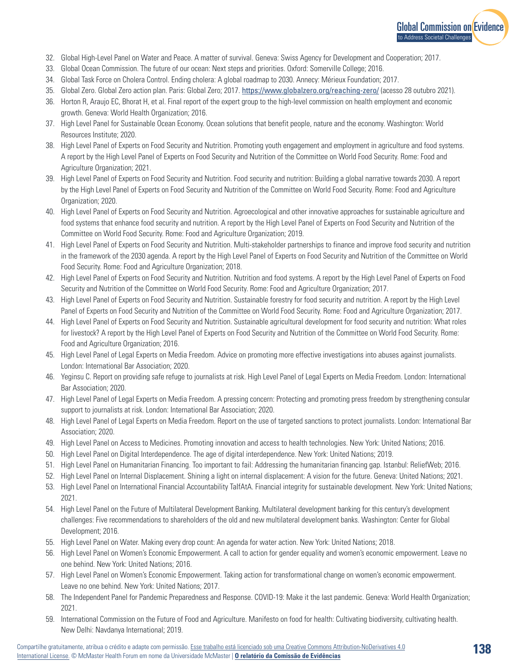

- 32. Global High-Level Panel on Water and Peace. A matter of survival. Geneva: Swiss Agency for Development and Cooperation; 2017.
- 33. Global Ocean Commission. The future of our ocean: Next steps and priorities. Oxford: Somerville College; 2016.
- 34. Global Task Force on Cholera Control. Ending cholera: A global roadmap to 2030. Annecy: Mérieux Foundation; 2017.
- 35. Global Zero. Global Zero action plan. Paris: Global Zero; 2017. <https://www.globalzero.org/reaching-zero/> (acesso 28 outubro 2021).
- 36. Horton R, Araujo EC, Bhorat H, et al. Final report of the expert group to the high-level commission on health employment and economic growth. Geneva: World Health Organization; 2016.
- 37. High Level Panel for Sustainable Ocean Economy. Ocean solutions that benefit people, nature and the economy. Washington: World Resources Institute; 2020.
- 38. High Level Panel of Experts on Food Security and Nutrition. Promoting youth engagement and employment in agriculture and food systems. A report by the High Level Panel of Experts on Food Security and Nutrition of the Committee on World Food Security. Rome: Food and Agriculture Organization; 2021.
- 39. High Level Panel of Experts on Food Security and Nutrition. Food security and nutrition: Building a global narrative towards 2030. A report by the High Level Panel of Experts on Food Security and Nutrition of the Committee on World Food Security. Rome: Food and Agriculture Organization; 2020.
- 40. High Level Panel of Experts on Food Security and Nutrition. Agroecological and other innovative approaches for sustainable agriculture and food systems that enhance food security and nutrition. A report by the High Level Panel of Experts on Food Security and Nutrition of the Committee on World Food Security. Rome: Food and Agriculture Organization; 2019.
- 41. High Level Panel of Experts on Food Security and Nutrition. Multi-stakeholder partnerships to finance and improve food security and nutrition in the framework of the 2030 agenda. A report by the High Level Panel of Experts on Food Security and Nutrition of the Committee on World Food Security. Rome: Food and Agriculture Organization; 2018.
- 42. High Level Panel of Experts on Food Security and Nutrition. Nutrition and food systems. A report by the High Level Panel of Experts on Food Security and Nutrition of the Committee on World Food Security. Rome: Food and Agriculture Organization; 2017.
- 43. High Level Panel of Experts on Food Security and Nutrition. Sustainable forestry for food security and nutrition. A report by the High Level Panel of Experts on Food Security and Nutrition of the Committee on World Food Security. Rome: Food and Agriculture Organization; 2017.
- 44. High Level Panel of Experts on Food Security and Nutrition. Sustainable agricultural development for food security and nutrition: What roles for livestock? A report by the High Level Panel of Experts on Food Security and Nutrition of the Committee on World Food Security. Rome: Food and Agriculture Organization; 2016.
- 45. High Level Panel of Legal Experts on Media Freedom. Advice on promoting more effective investigations into abuses against journalists. London: International Bar Association; 2020.
- 46. Yeginsu C. Report on providing safe refuge to journalists at risk. High Level Panel of Legal Experts on Media Freedom. London: International Bar Association; 2020.
- 47. High Level Panel of Legal Experts on Media Freedom. A pressing concern: Protecting and promoting press freedom by strengthening consular support to journalists at risk. London: International Bar Association; 2020.
- 48. High Level Panel of Legal Experts on Media Freedom. Report on the use of targeted sanctions to protect journalists. London: International Bar Association; 2020.
- 49. High Level Panel on Access to Medicines. Promoting innovation and access to health technologies. New York: United Nations; 2016.
- 50. High Level Panel on Digital Interdependence. The age of digital interdependence. New York: United Nations; 2019.
- 51. High Level Panel on Humanitarian Financing. Too important to fail: Addressing the humanitarian financing gap. Istanbul: ReliefWeb; 2016.
- 52. High Level Panel on Internal Displacement. Shining a light on internal displacement: A vision for the future. Geneva: United Nations; 2021.
- 53. High Level Panel on International Financial Accountability TaIfAtA. Financial integrity for sustainable development. New York: United Nations; 2021.
- 54. High Level Panel on the Future of Multilateral Development Banking. Multilateral development banking for this century's development challenges: Five recommendations to shareholders of the old and new multilateral development banks. Washington: Center for Global Development; 2016.
- 55. High Level Panel on Water. Making every drop count: An agenda for water action. New York: United Nations; 2018.
- 56. High Level Panel on Women's Economic Empowerment. A call to action for gender equality and women's economic empowerment. Leave no one behind. New York: United Nations; 2016.
- 57. High Level Panel on Women's Economic Empowerment. Taking action for transformational change on women's economic empowerment. Leave no one behind. New York: United Nations; 2017.
- 58. The Independent Panel for Pandemic Preparedness and Response. COVID-19: Make it the last pandemic. Geneva: World Health Organization; 2021.
- 59. International Commission on the Future of Food and Agriculture. Manifesto on food for health: Cultivating biodiversity, cultivating health. New Delhi: Navdanya International; 2019.